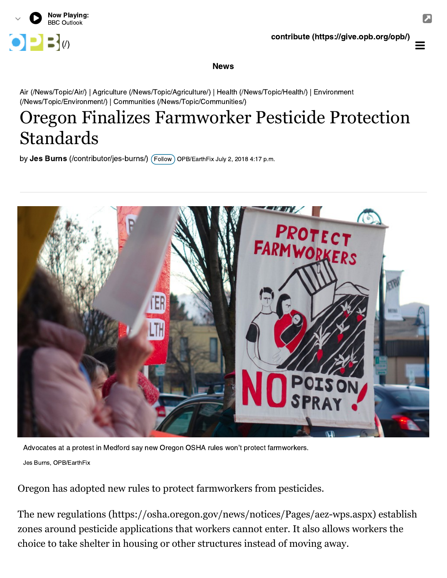

## News

[Air \(/News/Topic/Air/\) | Agriculture \(/News/Topic/Agriculture/\) | Health \(/News/Topic/Health/\) | Environment](https://www.opb.org/news/topic/environment/) (/News/Topic/Environment/) | [Communities \(/News/Topic/Communities/\)](https://www.opb.org/news/topic/communities/)

## Oregon Finalizes Farmworker Pesticide Protection Standards

by  $\mathsf{Jes}$  Burns (/contributor/jes-burns/)  $($  Follow  $)$  OPB/EarthFix July 2, 2018 4:17 p.m.



Advocates at a protest in Medford say new Oregon OSHA rules won't protect farmworkers. Jes Burns, OPB/EarthFix

Oregon has adopted new rules to protect farmworkers from pesticides.

The [new regulations \(https://osha.oregon.gov/news/notices/Pages/aez-wps.aspx\)](https://osha.oregon.gov/news/notices/Pages/aez-wps.aspx) establish zones around pesticide applications that workers cannot enter. It also allows workers the choice to take shelter in housing or other structures instead of moving away.

 $\equiv$